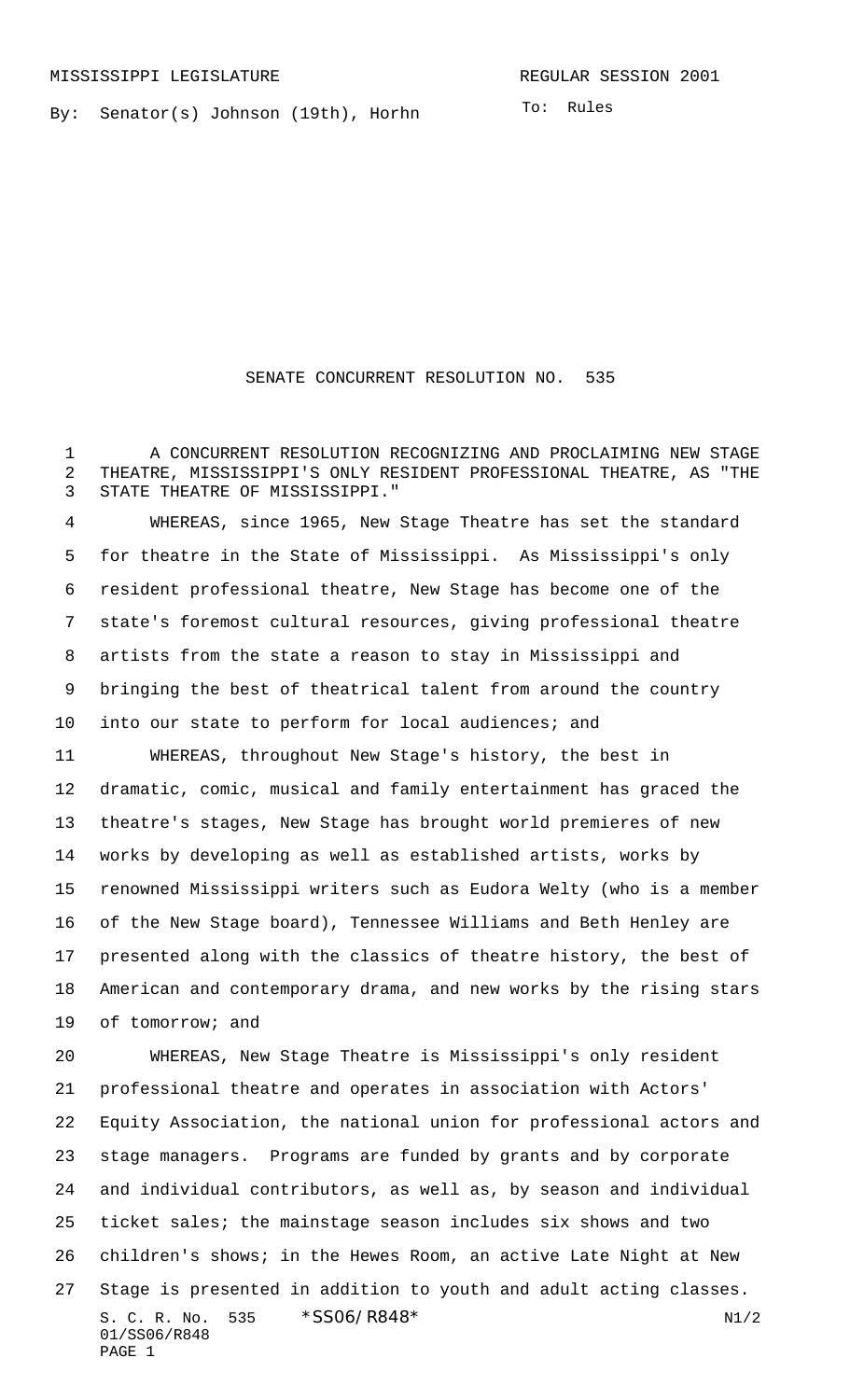By: Senator(s) Johnson (19th), Horhn

To: Rules

## SENATE CONCURRENT RESOLUTION NO. 535

1 A CONCURRENT RESOLUTION RECOGNIZING AND PROCLAIMING NEW STAGE THEATRE, MISSISSIPPI'S ONLY RESIDENT PROFESSIONAL THEATRE, AS "THE STATE THEATRE OF MISSISSIPPI."

 WHEREAS, since 1965, New Stage Theatre has set the standard for theatre in the State of Mississippi. As Mississippi's only resident professional theatre, New Stage has become one of the state's foremost cultural resources, giving professional theatre artists from the state a reason to stay in Mississippi and bringing the best of theatrical talent from around the country into our state to perform for local audiences; and WHEREAS, throughout New Stage's history, the best in dramatic, comic, musical and family entertainment has graced the theatre's stages, New Stage has brought world premieres of new works by developing as well as established artists, works by renowned Mississippi writers such as Eudora Welty (who is a member of the New Stage board), Tennessee Williams and Beth Henley are presented along with the classics of theatre history, the best of American and contemporary drama, and new works by the rising stars of tomorrow; and

S. C. R. No. \*SS06/R848\* N1/2 01/SS06/R848 PAGE 1 WHEREAS, New Stage Theatre is Mississippi's only resident professional theatre and operates in association with Actors' Equity Association, the national union for professional actors and stage managers. Programs are funded by grants and by corporate and individual contributors, as well as, by season and individual ticket sales; the mainstage season includes six shows and two children's shows; in the Hewes Room, an active Late Night at New Stage is presented in addition to youth and adult acting classes.